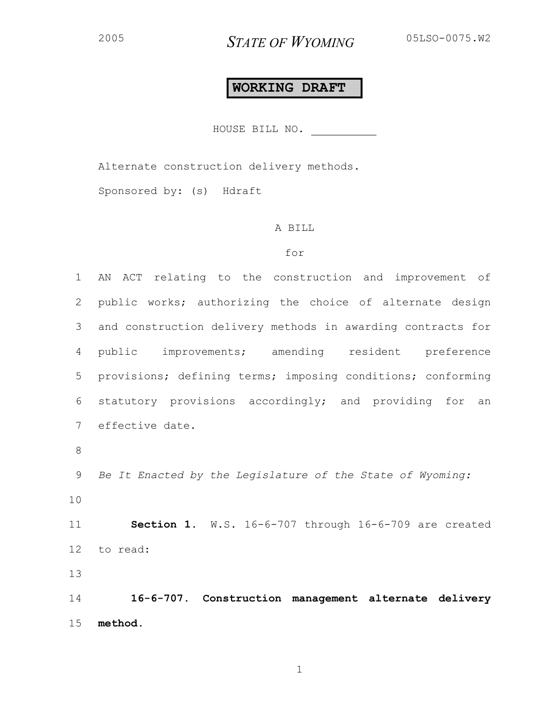## **WORKING DRAFT**

HOUSE BILL NO.

Alternate construction delivery methods.

Sponsored by: (s) Hdraft

## A BILL

## for

1 AN ACT relating to the construction and improvement of 2 public works; authorizing the choice of alternate design 3 and construction delivery methods in awarding contracts for 4 public improvements; amending resident preference 5 provisions; defining terms; imposing conditions; conforming 6 statutory provisions accordingly; and providing for an 7 effective date. 8 9 *Be It Enacted by the Legislature of the State of Wyoming:* 

10

11 **Section 1.** W.S. 16-6-707 through 16-6-709 are created 12 to read:

13

14 **16-6-707. Construction management alternate delivery**  15 **method.**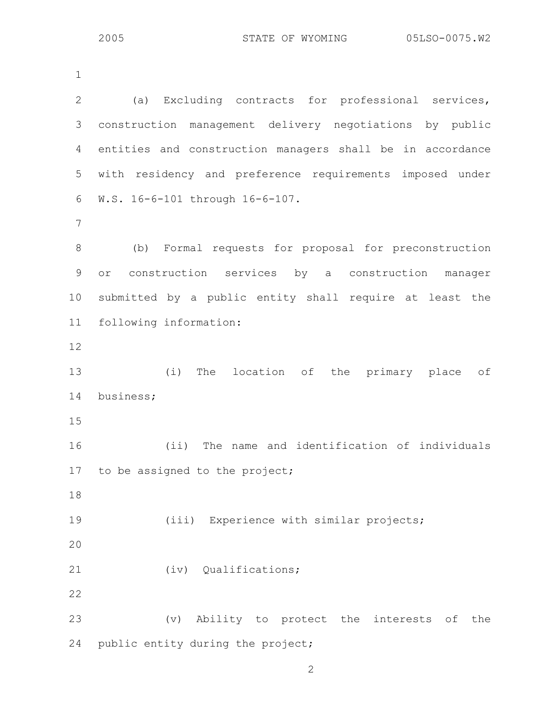1

| $\mathbf{2}$ | (a) Excluding contracts for professional services,        |
|--------------|-----------------------------------------------------------|
| 3            | construction management delivery negotiations by public   |
| 4            | entities and construction managers shall be in accordance |
| 5            | with residency and preference requirements imposed under  |
| 6            | W.S. 16-6-101 through 16-6-107.                           |
| 7            |                                                           |
| 8            | (b) Formal requests for proposal for preconstruction      |
| $\mathsf 9$  | construction services by a construction<br>manager<br>or  |
| 10           | submitted by a public entity shall require at least the   |
| 11           | following information:                                    |
| 12           |                                                           |
| 13           | (i) The location of the primary place of                  |
| 14           | business;                                                 |
| 15           |                                                           |
| 16           | (i)<br>The name and identification of individuals         |
| 17           | to be assigned to the project;                            |
| 18           |                                                           |
| 19           | (iii) Experience with similar projects;                   |
| 20           |                                                           |
| 21           | (iv) Qualifications;                                      |
| 22           |                                                           |
| 23           | (v) Ability to protect the interests of<br>the            |
| 24           | public entity during the project;                         |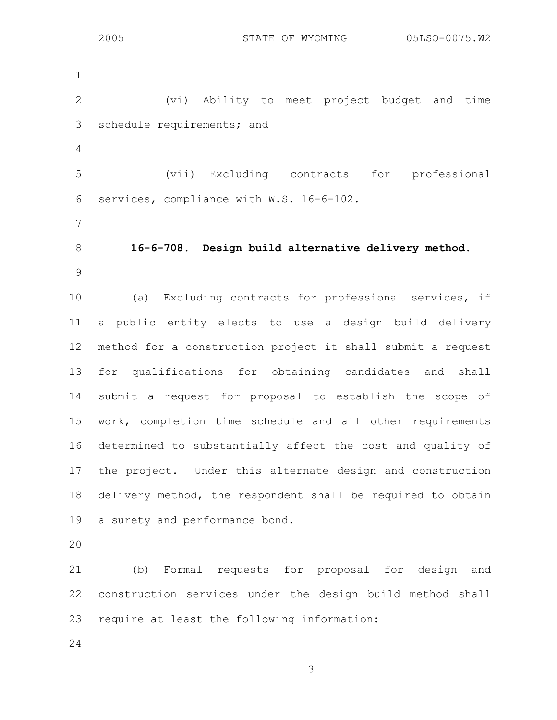1 2 (vi) Ability to meet project budget and time 3 schedule requirements; and 4 5 (vii) Excluding contracts for professional 6 services, compliance with W.S. 16-6-102. 7 8 **16-6-708. Design build alternative delivery method.**  9 10 (a) Excluding contracts for professional services, if 11 a public entity elects to use a design build delivery 12 method for a construction project it shall submit a request 13 for qualifications for obtaining candidates and shall 14 submit a request for proposal to establish the scope of 15 work, completion time schedule and all other requirements 16 determined to substantially affect the cost and quality of 17 the project. Under this alternate design and construction 18 delivery method, the respondent shall be required to obtain 19 a surety and performance bond.

20

21 (b) Formal requests for proposal for design and 22 construction services under the design build method shall 23 require at least the following information:

24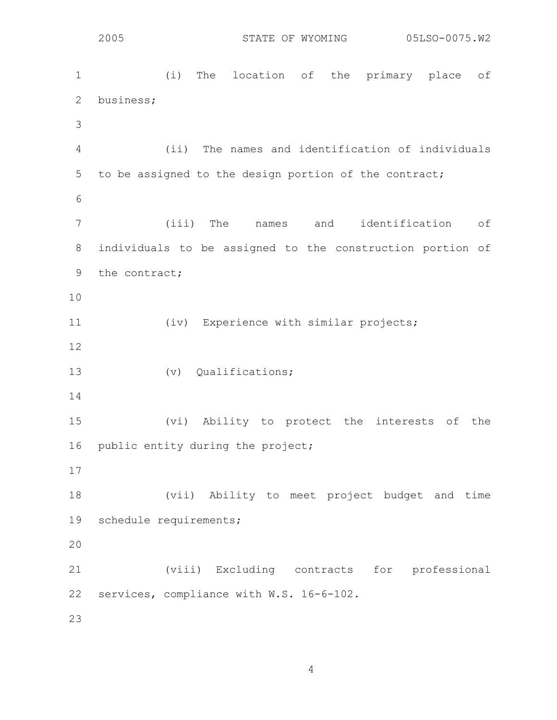1 (i) The location of the primary place of 2 business; 3 4 (ii) The names and identification of individuals 5 to be assigned to the design portion of the contract; 6 7 (iii) The names and identification of 8 individuals to be assigned to the construction portion of 9 the contract; 10 11 (iv) Experience with similar projects; 12 13 (v) Qualifications; 14 15 (vi) Ability to protect the interests of the 16 public entity during the project; 17 18 (vii) Ability to meet project budget and time 19 schedule requirements; 20 21 (viii) Excluding contracts for professional 22 services, compliance with W.S. 16-6-102. 23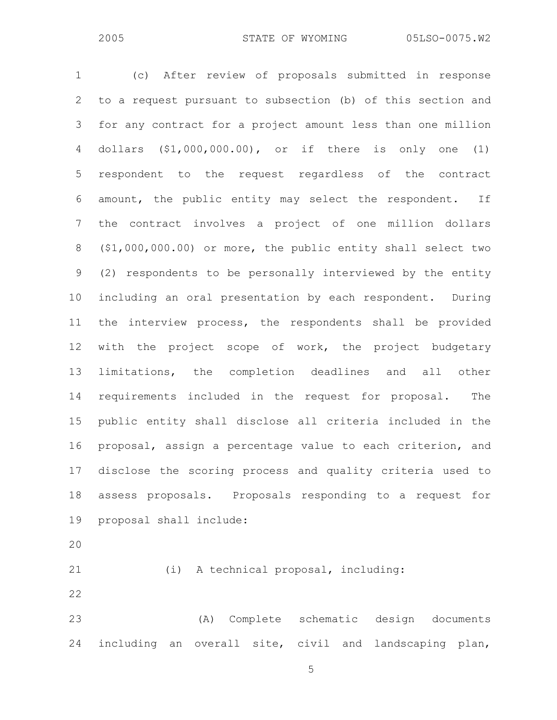$\sim$  5 1 (c) After review of proposals submitted in response 2 to a request pursuant to subsection (b) of this section and 3 for any contract for a project amount less than one million 4 dollars (\$1,000,000.00), or if there is only one (1) 5 respondent to the request regardless of the contract 6 amount, the public entity may select the respondent. If 7 the contract involves a project of one million dollars 8 (\$1,000,000.00) or more, the public entity shall select two 9 (2) respondents to be personally interviewed by the entity 10 including an oral presentation by each respondent. During 11 the interview process, the respondents shall be provided 12 with the project scope of work, the project budgetary 13 limitations, the completion deadlines and all other 14 requirements included in the request for proposal. The 15 public entity shall disclose all criteria included in the 16 proposal, assign a percentage value to each criterion, and 17 disclose the scoring process and quality criteria used to 18 assess proposals. Proposals responding to a request for 19 proposal shall include: 20 21 (i) A technical proposal, including: 22 23 (A) Complete schematic design documents 24 including an overall site, civil and landscaping plan,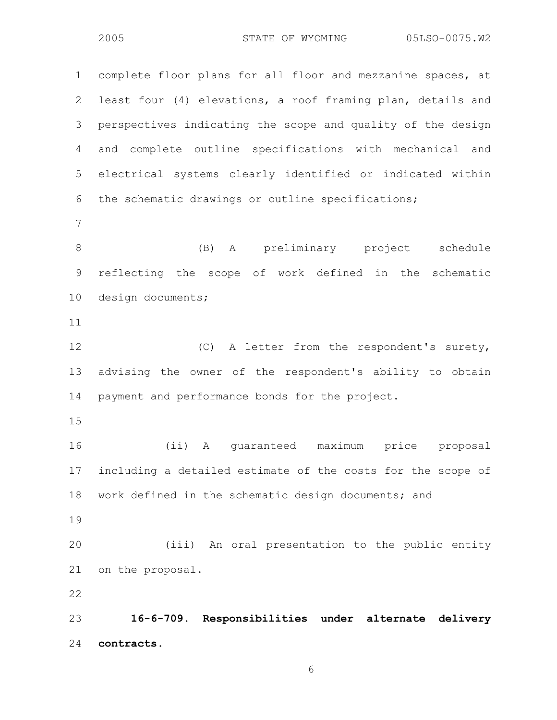1 complete floor plans for all floor and mezzanine spaces, at 2 least four (4) elevations, a roof framing plan, details and 3 perspectives indicating the scope and quality of the design 4 and complete outline specifications with mechanical and 5 electrical systems clearly identified or indicated within 6 the schematic drawings or outline specifications; 7 8 (B) A preliminary project schedule 9 reflecting the scope of work defined in the schematic 10 design documents; 11 12 (C) A letter from the respondent's surety, 13 advising the owner of the respondent's ability to obtain 14 payment and performance bonds for the project. 15 16 (ii) A guaranteed maximum price proposal 17 including a detailed estimate of the costs for the scope of 18 work defined in the schematic design documents; and 19 20 (iii) An oral presentation to the public entity 21 on the proposal. 22 23 **16-6-709. Responsibilities under alternate delivery**  24 **contracts.**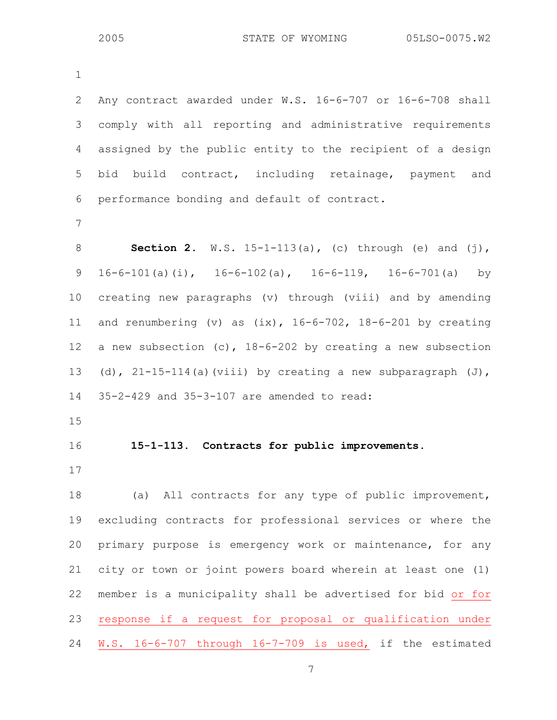1 2 Any contract awarded under W.S. 16-6-707 or 16-6-708 shall 3 comply with all reporting and administrative requirements 4 assigned by the public entity to the recipient of a design 5 bid build contract, including retainage, payment and 6 performance bonding and default of contract. 7 8 **Section 2.** W.S. 15-1-113(a), (c) through (e) and (j), 9 16-6-101(a)(i), 16-6-102(a), 16-6-119, 16-6-701(a) by 10 creating new paragraphs (v) through (viii) and by amending 11 and renumbering (v) as (ix), 16-6-702, 18-6-201 by creating 12 a new subsection (c), 18-6-202 by creating a new subsection 13 (d),  $21-15-114$  (a)(viii) by creating a new subparagraph  $(J)$ , 14 35-2-429 and 35-3-107 are amended to read: 15 16 **15-1-113. Contracts for public improvements.**  17 18 (a) All contracts for any type of public improvement, 19 excluding contracts for professional services or where the 20 primary purpose is emergency work or maintenance, for any 21 city or town or joint powers board wherein at least one (1) 22 member is a municipality shall be advertised for bid or for 23 response if a request for proposal or qualification under 24 W.S. 16-6-707 through 16-7-709 is used, if the estimated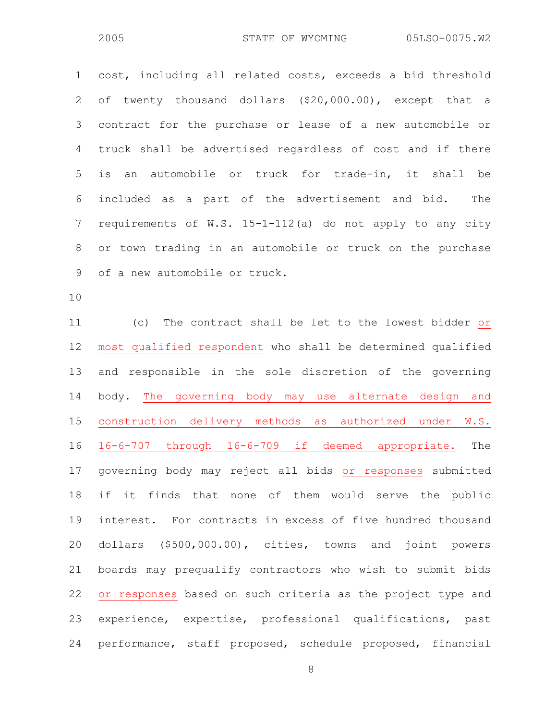1 cost, including all related costs, exceeds a bid threshold 2 of twenty thousand dollars (\$20,000.00), except that a 3 contract for the purchase or lease of a new automobile or 4 truck shall be advertised regardless of cost and if there 5 is an automobile or truck for trade-in, it shall be 6 included as a part of the advertisement and bid. The 7 requirements of W.S. 15-1-112(a) do not apply to any city 8 or town trading in an automobile or truck on the purchase 9 of a new automobile or truck.

10

11 (c) The contract shall be let to the lowest bidder or 12 most qualified respondent who shall be determined qualified 13 and responsible in the sole discretion of the governing 14 body. The governing body may use alternate design and 15 construction delivery methods as authorized under W.S. 16 16-6-707 through 16-6-709 if deemed appropriate. The 17 governing body may reject all bids or responses submitted 18 if it finds that none of them would serve the public 19 interest. For contracts in excess of five hundred thousand 20 dollars (\$500,000.00), cities, towns and joint powers 21 boards may prequalify contractors who wish to submit bids 22 or responses based on such criteria as the project type and 23 experience, expertise, professional qualifications, past 24 performance, staff proposed, schedule proposed, financial

8 and 2012 and 30 and 30 and 30 and 30 and 30 and 30 and 30 and 30 and 30 and 30 and 30 and 30 and 30 and 30 a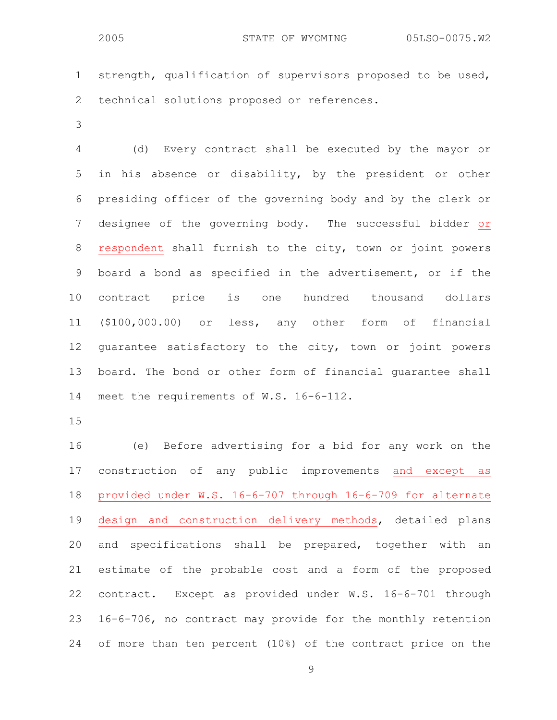1 strength, qualification of supervisors proposed to be used, 2 technical solutions proposed or references.

3

4 (d) Every contract shall be executed by the mayor or 5 in his absence or disability, by the president or other 6 presiding officer of the governing body and by the clerk or 7 designee of the governing body. The successful bidder or 8 respondent shall furnish to the city, town or joint powers 9 board a bond as specified in the advertisement, or if the 10 contract price is one hundred thousand dollars 11 (\$100,000.00) or less, any other form of financial 12 guarantee satisfactory to the city, town or joint powers 13 board. The bond or other form of financial guarantee shall 14 meet the requirements of W.S. 16-6-112.

15

16 (e) Before advertising for a bid for any work on the 17 construction of any public improvements and except as 18 provided under W.S. 16-6-707 through 16-6-709 for alternate 19 design and construction delivery methods, detailed plans 20 and specifications shall be prepared, together with an 21 estimate of the probable cost and a form of the proposed 22 contract. Except as provided under W.S. 16-6-701 through 23 16-6-706, no contract may provide for the monthly retention 24 of more than ten percent (10%) of the contract price on the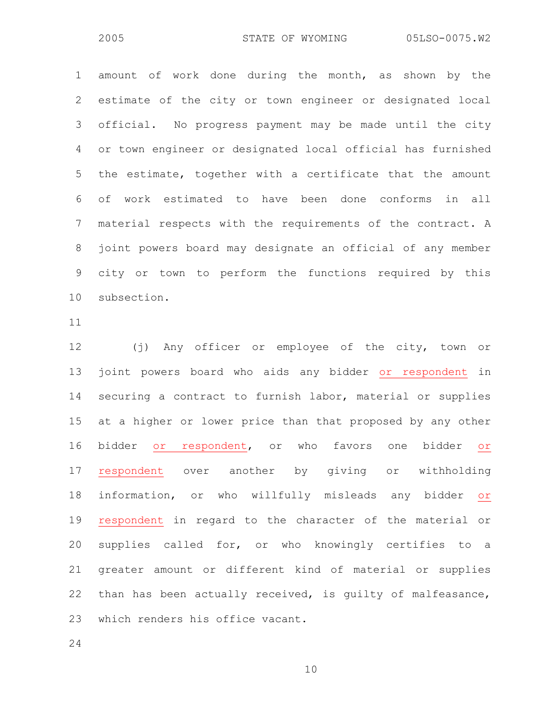1 amount of work done during the month, as shown by the 2 estimate of the city or town engineer or designated local 3 official. No progress payment may be made until the city 4 or town engineer or designated local official has furnished 5 the estimate, together with a certificate that the amount 6 of work estimated to have been done conforms in all 7 material respects with the requirements of the contract. A 8 joint powers board may designate an official of any member 9 city or town to perform the functions required by this 10 subsection.

11

12 (j) Any officer or employee of the city, town or 13 joint powers board who aids any bidder or respondent in 14 securing a contract to furnish labor, material or supplies 15 at a higher or lower price than that proposed by any other 16 bidder or respondent, or who favors one bidder or 17 respondent over another by giving or withholding 18 information, or who willfully misleads any bidder or 19 respondent in regard to the character of the material or 20 supplies called for, or who knowingly certifies to a 21 greater amount or different kind of material or supplies 22 than has been actually received, is guilty of malfeasance, 23 which renders his office vacant.

24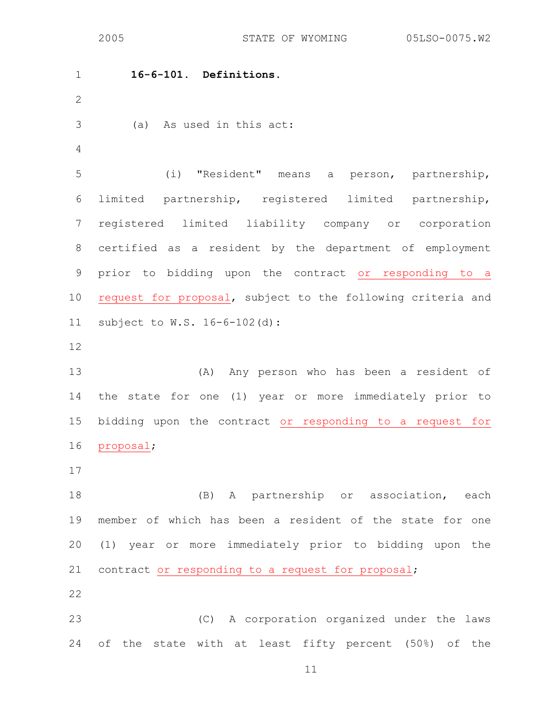1 **16-6-101. Definitions.**  2 3 (a) As used in this act: 4 5 (i) "Resident" means a person, partnership, 6 limited partnership, registered limited partnership, 7 registered limited liability company or corporation 8 certified as a resident by the department of employment 9 prior to bidding upon the contract or responding to a 10 request for proposal, subject to the following criteria and 11 subject to W.S. 16-6-102(d): 12 13 (A) Any person who has been a resident of 14 the state for one (1) year or more immediately prior to 15 bidding upon the contract or responding to a request for 16 proposal; 17 18 (B) A partnership or association, each 19 member of which has been a resident of the state for one 20 (1) year or more immediately prior to bidding upon the 21 contract or responding to a request for proposal; 22 23 (C) A corporation organized under the laws 24 of the state with at least fifty percent (50%) of the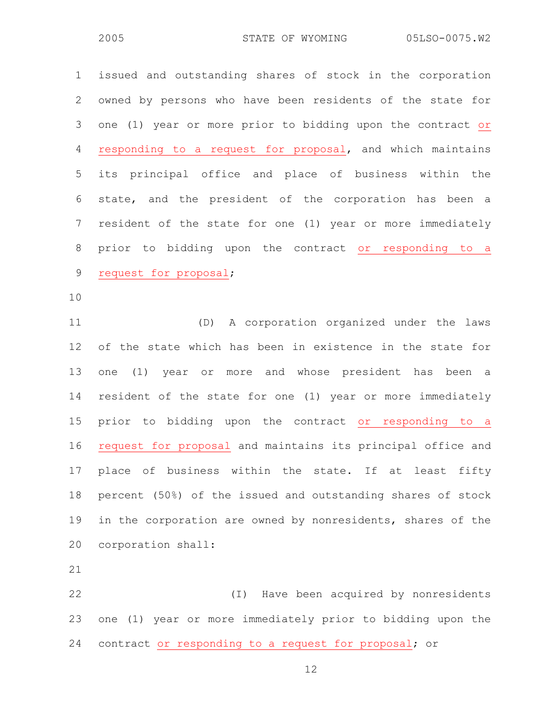1 issued and outstanding shares of stock in the corporation 2 owned by persons who have been residents of the state for 3 one (1) year or more prior to bidding upon the contract or 4 responding to a request for proposal, and which maintains 5 its principal office and place of business within the 6 state, and the president of the corporation has been a 7 resident of the state for one (1) year or more immediately 8 prior to bidding upon the contract or responding to a 9 request for proposal; 10 11 (D) A corporation organized under the laws 12 of the state which has been in existence in the state for 13 one (1) year or more and whose president has been a 14 resident of the state for one (1) year or more immediately 15 prior to bidding upon the contract or responding to a 16 request for proposal and maintains its principal office and 17 place of business within the state. If at least fifty 18 percent (50%) of the issued and outstanding shares of stock 19 in the corporation are owned by nonresidents, shares of the 20 corporation shall: 21 22 (I) Have been acquired by nonresidents 23 one (1) year or more immediately prior to bidding upon the 24 contract or responding to a request for proposal; or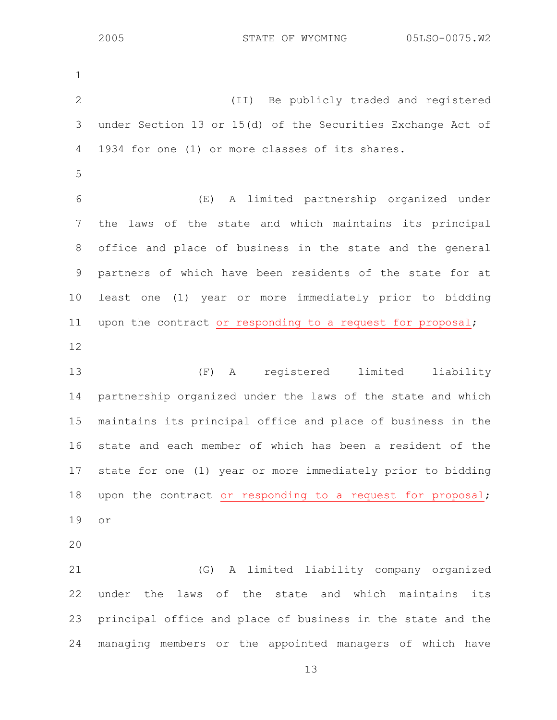1 2 (II) Be publicly traded and registered 3 under Section 13 or 15(d) of the Securities Exchange Act of 4 1934 for one (1) or more classes of its shares. 5 6 (E) A limited partnership organized under 7 the laws of the state and which maintains its principal 8 office and place of business in the state and the general 9 partners of which have been residents of the state for at 10 least one (1) year or more immediately prior to bidding 11 upon the contract or responding to a request for proposal; 12 13 (F) A registered limited liability 14 partnership organized under the laws of the state and which 15 maintains its principal office and place of business in the 16 state and each member of which has been a resident of the 17 state for one (1) year or more immediately prior to bidding 18 upon the contract or responding to a request for proposal; 19 or 20 21 (G) A limited liability company organized 22 under the laws of the state and which maintains its 23 principal office and place of business in the state and the 24 managing members or the appointed managers of which have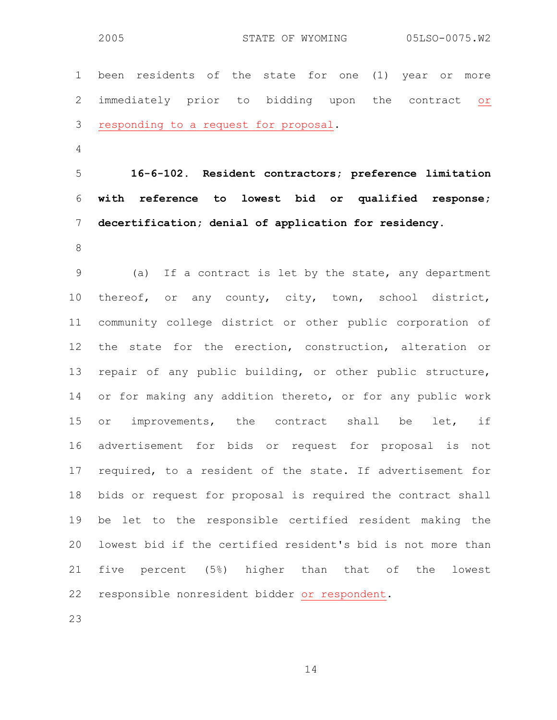1 been residents of the state for one (1) year or more 2 immediately prior to bidding upon the contract or 3 responding to a request for proposal. 4 5 **16-6-102. Resident contractors; preference limitation**  6 **with reference to lowest bid or qualified response;**  7 **decertification; denial of application for residency.**  8 9 (a) If a contract is let by the state, any department 10 thereof, or any county, city, town, school district, 11 community college district or other public corporation of 12 the state for the erection, construction, alteration or 13 repair of any public building, or other public structure, 14 or for making any addition thereto, or for any public work 15 or improvements, the contract shall be let, if 16 advertisement for bids or request for proposal is not 17 required, to a resident of the state. If advertisement for 18 bids or request for proposal is required the contract shall 19 be let to the responsible certified resident making the 20 lowest bid if the certified resident's bid is not more than 21 five percent (5%) higher than that of the lowest

22 responsible nonresident bidder or respondent.

23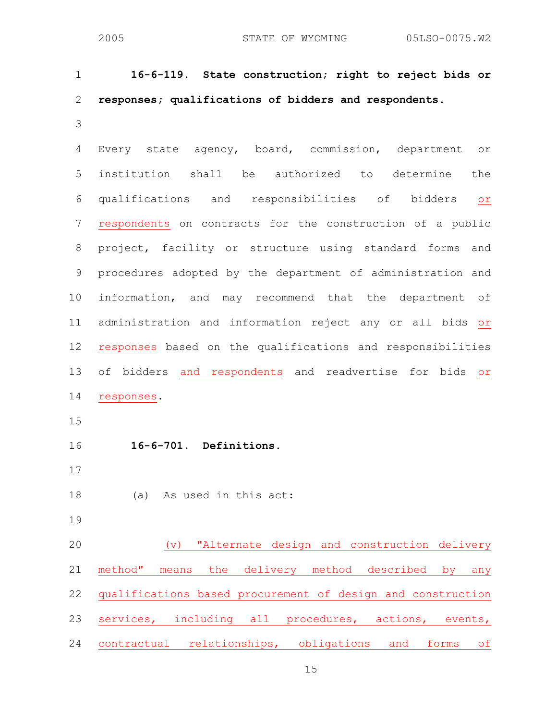| $\mathbf 1$    | 16-6-119. State construction; right to reject bids or                                   |
|----------------|-----------------------------------------------------------------------------------------|
| $\overline{2}$ | responses; qualifications of bidders and respondents.                                   |
| 3              |                                                                                         |
| 4              | Every state agency, board, commission, department<br>O <sub>T</sub>                     |
| 5              | institution shall be authorized to determine<br>the                                     |
| 6              | qualifications and responsibilities of bidders<br>O <sub>T</sub>                        |
| $\overline{7}$ | respondents on contracts for the construction of a public                               |
| $8\,$          | project, facility or structure using standard forms and                                 |
| 9              | procedures adopted by the department of administration and                              |
| 10             | information, and may recommend that the department of                                   |
| 11             | administration and information reject any or all bids or                                |
| 12             | responses based on the qualifications and responsibilities                              |
| 13             | of bidders and respondents and readvertise for bids or                                  |
| 14             | responses.                                                                              |
| 15             |                                                                                         |
| 16             | 16-6-701. Definitions.                                                                  |
| 17             |                                                                                         |
| 18             | (a)<br>As used in this act:                                                             |
| 19             |                                                                                         |
| 20             | "Alternate design and construction delivery<br>$(\triangledown)$                        |
| 21             | method"<br>the $\overline{\phantom{0}}$<br>delivery method described by<br>means<br>any |
| 22             | qualifications based procurement of design and construction                             |

24 contractual relationships, obligations and forms of

23 services, including all procedures, actions, events,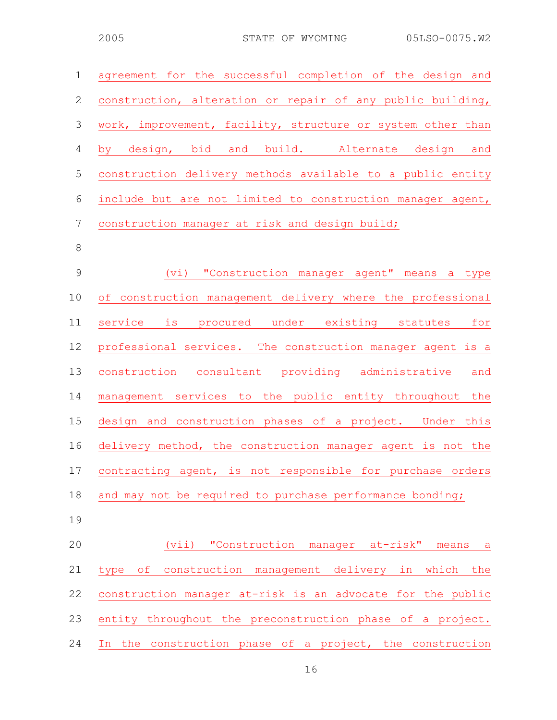| $\mathbf 1$    | agreement for the successful completion of the design and   |
|----------------|-------------------------------------------------------------|
| $\mathbf{2}$   | construction, alteration or repair of any public building,  |
| $\mathcal{S}$  | work, improvement, facility, structure or system other than |
| $\overline{4}$ | by design, bid and build. Alternate design and              |
| $\mathsf S$    | construction delivery methods available to a public entity  |
| 6              | include but are not limited to construction manager agent,  |
| $\overline{7}$ | construction manager at risk and design build;              |
| $\,8\,$        |                                                             |
| $\mathcal{G}$  | (vi) "Construction manager agent" means a type              |
| 10             | of construction management delivery where the professional  |
| 11             | service is procured under existing statutes for             |
| 12             | professional services. The construction manager agent is a  |
| 13             | construction consultant providing administrative and        |
| 14             | management services to the public entity throughout the     |
| 15             | design and construction phases of a project. Under this     |
| 16             | delivery method, the construction manager agent is not the  |
| 17             | contracting agent, is not responsible for purchase orders   |
| 18             | and may not be required to purchase performance bonding;    |
| 19             |                                                             |
| 20             | (vii) "Construction manager at-risk" means<br>a a           |
| 21             | type of construction management delivery in which the       |
| 22             | construction manager at-risk is an advocate for the public  |
| 23             | entity throughout the preconstruction phase of a project.   |
| 24             | In the construction phase of a project, the construction    |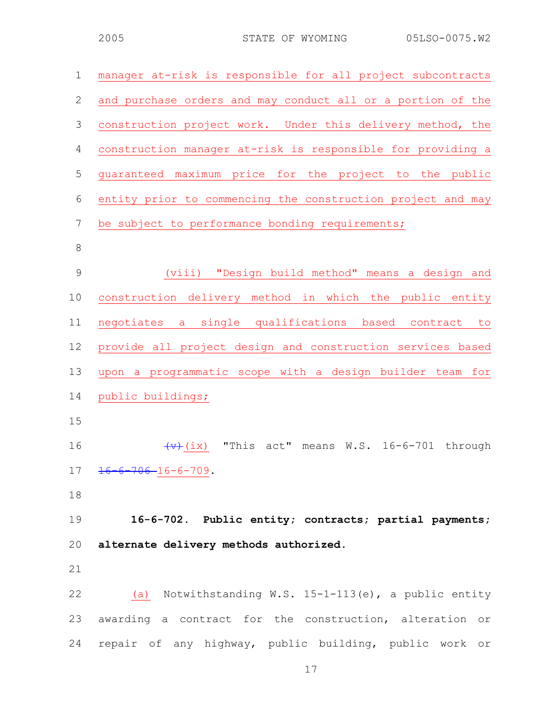| $\mathbf 1$    | manager at-risk is responsible for all project subcontracts                    |
|----------------|--------------------------------------------------------------------------------|
| $\mathbf{2}$   | and purchase orders and may conduct all or a portion of the                    |
| $\mathfrak{Z}$ | construction project work. Under this delivery method, the                     |
| $\overline{4}$ | construction manager at-risk is responsible for providing a                    |
| 5              | quaranteed maximum price for the project to the public                         |
| 6              | entity prior to commencing the construction project and may                    |
| $\overline{7}$ | be subject to performance bonding requirements;                                |
| $\,8\,$        |                                                                                |
| $\mathcal{G}$  | (viii) "Design build method" means a design and                                |
| 10             | construction delivery method in which the public entity                        |
| 11             | negotiates a single qualifications based contract<br>to                        |
| 12             | provide all project design and construction services based                     |
| 13             | upon a programmatic scope with a design builder team for                       |
| 14             | public buildings;                                                              |
| 15             |                                                                                |
| 16             | "This<br>act"<br>W.S. 16-6-701 through<br>$\left(\forall\right)$ (ix)<br>means |
| 17             | $16 - 6 - 706 - 16 - 6 - 709$ .                                                |
| 18             |                                                                                |
| 19             | 16-6-702. Public entity; contracts; partial payments;                          |
| 20             | alternate delivery methods authorized.                                         |
| 21             |                                                                                |
| 22             | (a) Notwithstanding W.S. $15-1-113(e)$ , a public entity                       |
| 23             | awarding a contract for the construction, alteration or                        |
| 24             | repair of any highway, public building, public work or                         |
|                | 17                                                                             |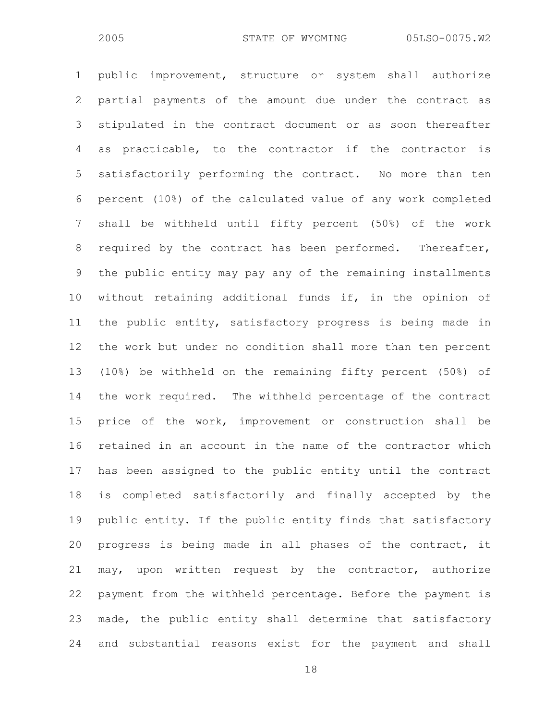1 public improvement, structure or system shall authorize 2 partial payments of the amount due under the contract as 3 stipulated in the contract document or as soon thereafter 4 as practicable, to the contractor if the contractor is 5 satisfactorily performing the contract. No more than ten 6 percent (10%) of the calculated value of any work completed 7 shall be withheld until fifty percent (50%) of the work 8 required by the contract has been performed. Thereafter, 9 the public entity may pay any of the remaining installments 10 without retaining additional funds if, in the opinion of 11 the public entity, satisfactory progress is being made in 12 the work but under no condition shall more than ten percent 13 (10%) be withheld on the remaining fifty percent (50%) of 14 the work required. The withheld percentage of the contract 15 price of the work, improvement or construction shall be 16 retained in an account in the name of the contractor which 17 has been assigned to the public entity until the contract 18 is completed satisfactorily and finally accepted by the 19 public entity. If the public entity finds that satisfactory 20 progress is being made in all phases of the contract, it 21 may, upon written request by the contractor, authorize 22 payment from the withheld percentage. Before the payment is 23 made, the public entity shall determine that satisfactory 24 and substantial reasons exist for the payment and shall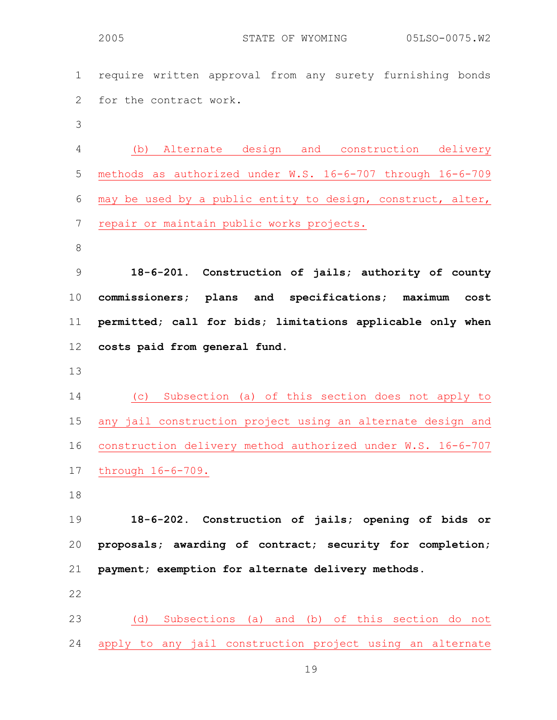1 require written approval from any surety furnishing bonds 2 for the contract work.

3

4 (b) Alternate design and construction delivery 5 methods as authorized under W.S. 16-6-707 through 16-6-709 6 may be used by a public entity to design, construct, alter, 7 repair or maintain public works projects.

8

**18-6-201. Construction of jails; authority of county commissioners; plans and specifications; maximum cost permitted; call for bids; limitations applicable only when costs paid from general fund.** 

13

14 (c) Subsection (a) of this section does not apply to 15 any jail construction project using an alternate design and 16 construction delivery method authorized under W.S. 16-6-707 17 through 16-6-709.

18

19 **18-6-202. Construction of jails; opening of bids or**  20 **proposals; awarding of contract; security for completion;**  21 **payment; exemption for alternate delivery methods.** 

22

23 (d) Subsections (a) and (b) of this section do not 24 apply to any jail construction project using an alternate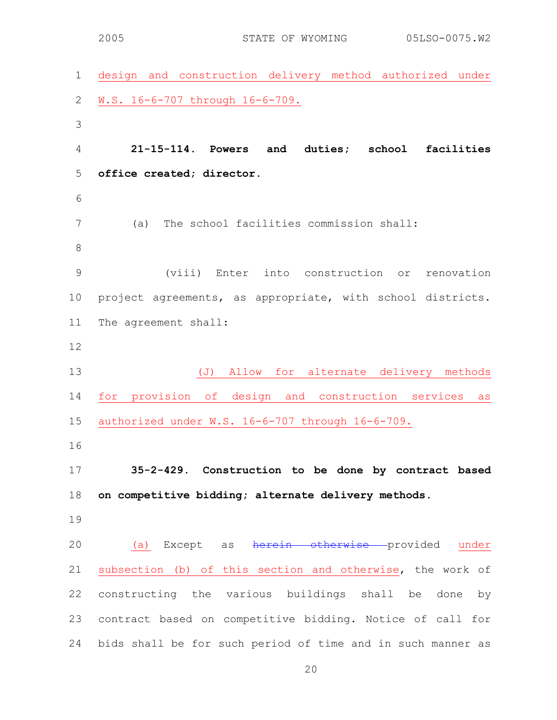1 design and construction delivery method authorized under 2 W.S. 16-6-707 through 16-6-709. 3 4 **21-15-114. Powers and duties; school facilities**  5 **office created; director.**  6 7 (a) The school facilities commission shall: 8 9 (viii) Enter into construction or renovation 10 project agreements, as appropriate, with school districts. 11 The agreement shall: 12 13 (J) Allow for alternate delivery methods 14 for provision of design and construction services as 15 authorized under W.S. 16-6-707 through 16-6-709. 16 17 **35-2-429. Construction to be done by contract based**  18 **on competitive bidding; alternate delivery methods.**  19 20 (a) Except as herein otherwise provided under 21 subsection (b) of this section and otherwise, the work of 22 constructing the various buildings shall be done by 23 contract based on competitive bidding. Notice of call for 24 bids shall be for such period of time and in such manner as